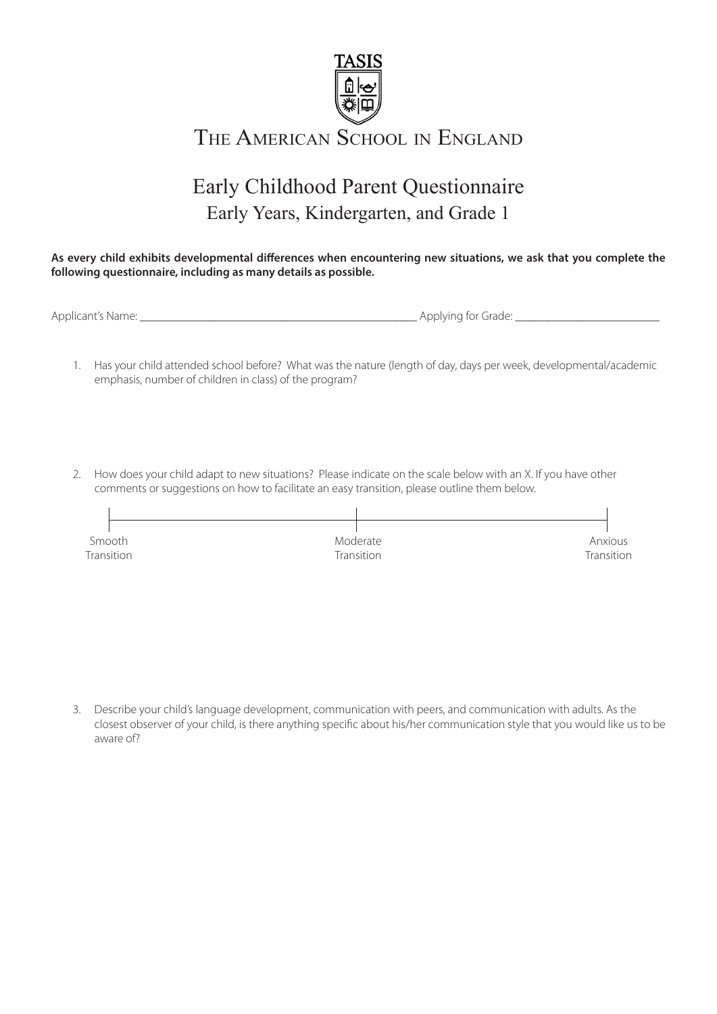

## THE AMERICAN SCHOOL IN ENGLAND

## Early Childhood Parent Questionnaire Early Years, Kindergarten, and Grade 1

**As every child exhibits developmental differences when encountering new situations, we ask that you complete the following questionnaire, including as many details as possible.** 

Applicant's Name: \_\_\_\_\_\_\_\_\_\_\_\_\_\_\_\_\_\_\_\_\_\_\_\_\_\_\_\_\_\_\_\_\_\_\_\_\_\_\_\_\_\_\_\_\_\_ Applying for Grade: \_\_\_\_\_\_\_\_\_\_\_\_\_\_\_\_\_\_\_\_\_\_\_\_

- 1. Has your child attended school before? What was the nature (length of day, days per week, developmental/academic emphasis, number of children in class) of the program?
- 2. How does your child adapt to new situations? Please indicate on the scale below with an X. If you have other comments or suggestions on how to facilitate an easy transition, please outline them below.

| Smooth     | Moderate   | Anxious    |
|------------|------------|------------|
| Transition | Transition | Transition |
|            |            |            |

3. Describe your child's language development, communication with peers, and communication with adults. As the closest observer of your child, is there anything specific about his/her communication style that you would like us to be aware of?